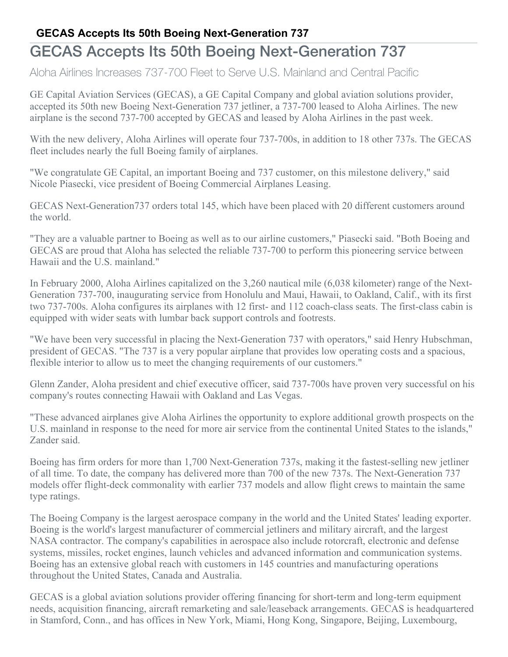## **GECAS Accepts Its 50th Boeing Next-Generation 737**

## GECAS Accepts Its 50th Boeing Next-Generation 737

Aloha Airlines Increases 737-700 Fleet to Serve U.S. Mainland and Central Pacific

GE Capital Aviation Services (GECAS), a GE Capital Company and global aviation solutions provider, accepted its 50th new Boeing Next-Generation 737 jetliner, a 737-700 leased to Aloha Airlines. The new airplane is the second 737-700 accepted by GECAS and leased by Aloha Airlines in the past week.

With the new delivery, Aloha Airlines will operate four 737-700s, in addition to 18 other 737s. The GECAS fleet includes nearly the full Boeing family of airplanes.

"We congratulate GE Capital, an important Boeing and 737 customer, on this milestone delivery," said Nicole Piasecki, vice president of Boeing Commercial Airplanes Leasing.

GECAS Next-Generation737 orders total 145, which have been placed with 20 different customers around the world.

"They are a valuable partner to Boeing as well as to our airline customers," Piasecki said. "Both Boeing and GECAS are proud that Aloha has selected the reliable 737-700 to perform this pioneering service between Hawaii and the U.S. mainland."

In February 2000, Aloha Airlines capitalized on the 3,260 nautical mile (6,038 kilometer) range of the Next-Generation 737-700, inaugurating service from Honolulu and Maui, Hawaii, to Oakland, Calif., with its first two 737-700s. Aloha configures its airplanes with 12 first- and 112 coach-class seats. The first-class cabin is equipped with wider seats with lumbar back support controls and footrests.

"We have been very successful in placing the Next-Generation 737 with operators," said Henry Hubschman, president of GECAS. "The 737 is a very popular airplane that provides low operating costs and a spacious, flexible interior to allow us to meet the changing requirements of our customers."

Glenn Zander, Aloha president and chief executive officer, said 737-700s have proven very successful on his company's routes connecting Hawaii with Oakland and Las Vegas.

"These advanced airplanes give Aloha Airlines the opportunity to explore additional growth prospects on the U.S. mainland in response to the need for more air service from the continental United States to the islands," Zander said.

Boeing has firm orders for more than 1,700 Next-Generation 737s, making it the fastest-selling new jetliner of all time. To date, the company has delivered more than 700 of the new 737s. The Next-Generation 737 models offer flight-deck commonality with earlier 737 models and allow flight crews to maintain the same type ratings.

The Boeing Company is the largest aerospace company in the world and the United States' leading exporter. Boeing is the world's largest manufacturer of commercial jetliners and military aircraft, and the largest NASA contractor. The company's capabilities in aerospace also include rotorcraft, electronic and defense systems, missiles, rocket engines, launch vehicles and advanced information and communication systems. Boeing has an extensive global reach with customers in 145 countries and manufacturing operations throughout the United States, Canada and Australia.

GECAS is a global aviation solutions provider offering financing for short-term and long-term equipment needs, acquisition financing, aircraft remarketing and sale/leaseback arrangements. GECAS is headquartered in Stamford, Conn., and has offices in New York, Miami, Hong Kong, Singapore, Beijing, Luxembourg,